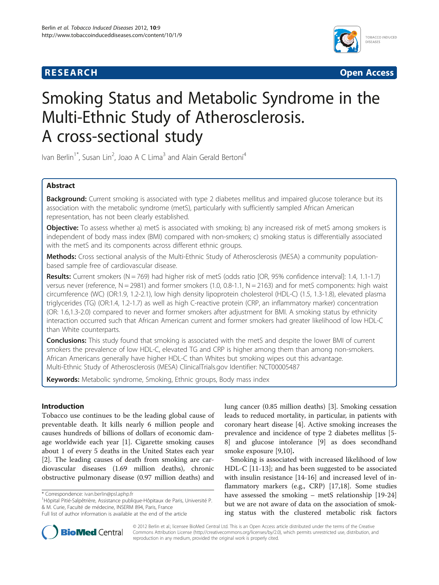

**RESEARCH CHINESE ARCH CHINESE ARCH CHINESE ARCH <b>CHINESE ARCH** 

# Smoking Status and Metabolic Syndrome in the Multi-Ethnic Study of Atherosclerosis. A cross-sectional study

Ivan Berlin<sup>1\*</sup>, Susan Lin<sup>2</sup>, Joao A C Lima<sup>3</sup> and Alain Gerald Bertoni<sup>4</sup>

# Abstract

Background: Current smoking is associated with type 2 diabetes mellitus and impaired glucose tolerance but its association with the metabolic syndrome (metS), particularly with sufficiently sampled African American representation, has not been clearly established.

**Objective:** To assess whether a) metS is associated with smoking; b) any increased risk of metS among smokers is independent of body mass index (BMI) compared with non-smokers; c) smoking status is differentially associated with the metS and its components across different ethnic groups.

Methods: Cross sectional analysis of the Multi-Ethnic Study of Atherosclerosis (MESA) a community populationbased sample free of cardiovascular disease.

Results: Current smokers (N = 769) had higher risk of metS (odds ratio [OR, 95% confidence interval]: 1.4, 1.1-1.7) versus never (reference,  $N = 2981$ ) and former smokers (1.0, 0.8-1.1,  $N = 2163$ ) and for metS components: high waist circumference (WC) (OR:1.9, 1.2-2.1), low high density lipoprotein cholesterol (HDL-C) (1.5, 1.3-1.8), elevated plasma triglycerides (TG) (OR:1.4, 1.2-1.7) as well as high C-reactive protein (CRP, an inflammatory marker) concentration (OR: 1.6,1.3-2.0) compared to never and former smokers after adjustment for BMI. A smoking status by ethnicity interaction occurred such that African American current and former smokers had greater likelihood of low HDL-C than White counterparts.

**Conclusions:** This study found that smoking is associated with the metS and despite the lower BMI of current smokers the prevalence of low HDL-C, elevated TG and CRP is higher among them than among non-smokers. African Americans generally have higher HDL-C than Whites but smoking wipes out this advantage. Multi-Ethnic Study of Atherosclerosis (MESA) ClinicalTrials.gov Identifier: NCT00005487

Keywords: Metabolic syndrome, Smoking, Ethnic groups, Body mass index

# Introduction

Tobacco use continues to be the leading global cause of preventable death. It kills nearly 6 million people and causes hundreds of billions of dollars of economic damage worldwide each year [\[1\]](#page-6-0). Cigarette smoking causes about 1 of every 5 deaths in the United States each year [[2\]](#page-6-0). The leading causes of death from smoking are cardiovascular diseases (1.69 million deaths), chronic obstructive pulmonary disease (0.97 million deaths) and

Hôpital Pitié-Salpêtrière, Assistance publique-Hôpitaux de Paris, Université P. & M. Curie, Faculté de médecine, INSERM 894, Paris, France

lung cancer (0.85 million deaths) [\[3](#page-6-0)]. Smoking cessation leads to reduced mortality, in particular, in patients with coronary heart disease [\[4\]](#page-6-0). Active smoking increases the prevalence and incidence of type 2 diabetes mellitus [\[5-](#page-6-0) [8\]](#page-6-0) and glucose intolerance [\[9](#page-6-0)] as does secondhand smoke exposure [[9,10\]](#page-6-0).

Smoking is associated with increased likelihood of low HDL-C [[11](#page-6-0)-[13\]](#page-6-0); and has been suggested to be associated with insulin resistance [[14-16\]](#page-6-0) and increased level of inflammatory markers (e.g., CRP) [[17](#page-6-0),[18](#page-6-0)]. Some studies have assessed the smoking – metS relationship [\[19](#page-6-0)-[24](#page-6-0)] but we are not aware of data on the association of smoking status with the clustered metabolic risk factors



© 2012 Berlin et al.; licensee BioMed Central Ltd. This is an Open Access article distributed under the terms of the Creative Commons Attribution License [\(http://creativecommons.org/licenses/by/2.0\)](http://creativecommons.org/licenses/by/2.0), which permits unrestricted use, distribution, and reproduction in any medium, provided the original work is properly cited.

<sup>\*</sup> Correspondence: [ivan.berlin@psl.aphp.fr](mailto:ivan.berlin@psl.aphp.fr) <sup>1</sup>

Full list of author information is available at the end of the article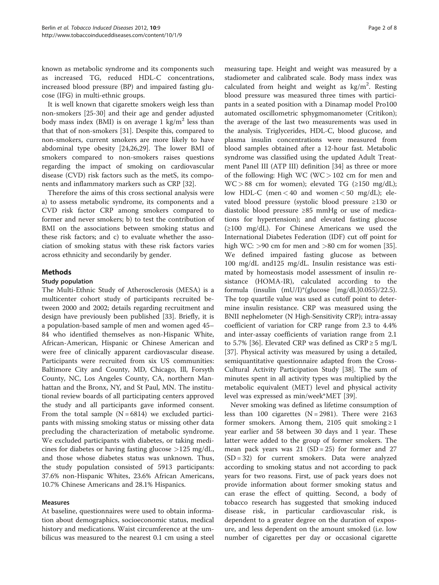known as metabolic syndrome and its components such as increased TG, reduced HDL-C concentrations, increased blood pressure (BP) and impaired fasting glucose (IFG) in multi-ethnic groups.

It is well known that cigarette smokers weigh less than non-smokers [\[25-30](#page-6-0)] and their age and gender adjusted body mass index (BMI) is on average 1 kg/m<sup>2</sup> less than that that of non-smokers [[31\]](#page-6-0). Despite this, compared to non-smokers, current smokers are more likely to have abdominal type obesity [[24,26,29\]](#page-6-0). The lower BMI of smokers compared to non-smokers raises questions regarding the impact of smoking on cardiovascular disease (CVD) risk factors such as the metS, its components and inflammatory markers such as CRP [\[32\]](#page-6-0).

Therefore the aims of this cross sectional analysis were a) to assess metabolic syndrome, its components and a CVD risk factor CRP among smokers compared to former and never smokers; b) to test the contribution of BMI on the associations between smoking status and these risk factors; and c) to evaluate whether the association of smoking status with these risk factors varies across ethnicity and secondarily by gender.

# Methods

# Study population

The Multi-Ethnic Study of Atherosclerosis (MESA) is a multicenter cohort study of participants recruited between 2000 and 2002; details regarding recruitment and design have previously been published [[33](#page-6-0)]. Briefly, it is a population-based sample of men and women aged 45– 84 who identified themselves as non-Hispanic White, African-American, Hispanic or Chinese American and were free of clinically apparent cardiovascular disease. Participants were recruited from six US communities: Baltimore City and County, MD, Chicago, Ill, Forsyth County, NC, Los Angeles County, CA, northern Manhattan and the Bronx, NY, and St Paul, MN. The institutional review boards of all participating centers approved the study and all participants gave informed consent. From the total sample  $(N = 6814)$  we excluded participants with missing smoking status or missing other data precluding the characterization of metabolic syndrome. We excluded participants with diabetes, or taking medicines for diabetes or having fasting glucose  $>125$  mg/dL, and those whose diabetes status was unknown. Thus, the study population consisted of 5913 participants: 37.6% non-Hispanic Whites, 23.6% African Americans, 10.7% Chinese Americans and 28.1% Hispanics.

# Measures

At baseline, questionnaires were used to obtain information about demographics, socioeconomic status, medical history and medications. Waist circumference at the umbilicus was measured to the nearest 0.1 cm using a steel

measuring tape. Height and weight was measured by a stadiometer and calibrated scale. Body mass index was calculated from height and weight as  $\text{kg/m}^2$ . Resting blood pressure was measured three times with participants in a seated position with a Dinamap model Pro100 automated oscillometric sphygmomanometer (Critikon); the average of the last two measurements was used in the analysis. Triglycerides, HDL-C, blood glucose, and plasma insulin concentrations were measured from blood samples obtained after a 12-hour fast. Metabolic syndrome was classified using the updated Adult Treatment Panel III (ATP III) definition [[34\]](#page-6-0) as three or more of the following: High WC (WC  $> 102$  cm for men and  $WC > 88$  cm for women); elevated TG ( $\geq 150$  mg/dL); low HDL-C (men  $< 40$  and women  $< 50$  mg/dL); elevated blood pressure (systolic blood pressure ≥130 or diastolic blood pressure ≥85 mmHg or use of medications for hypertension); and elevated fasting glucose (≥100 mg/dL). For Chinese Americans we used the International Diabetes Federation (IDF) cut off point for high WC:  $>90$  cm for men and  $>80$  cm for women [\[35](#page-6-0)]. We defined impaired fasting glucose as between 100 mg/dL and125 mg/dL. Insulin resistance was estimated by homeostasis model assessment of insulin resistance (HOMA-IR), calculated according to the formula (insulin  $(mU/I)*(glucose [mg/dL]0.055)/22.5)$ . The top quartile value was used as cutoff point to determine insulin resistance. CRP was measured using the BNII nephelometer (N High-Sensitivity CRP); intra-assay coefficient of variation for CRP range from 2.3 to 4.4% and inter-assay coefficients of variation range from 2.1 to 5.7% [\[36](#page-6-0)]. Elevated CRP was defined as  $CRP \ge 5$  mg/L [[37\]](#page-7-0). Physical activity was measured by using a detailed, semiquantitative questionnaire adapted from the Cross-Cultural Activity Participation Study [[38](#page-7-0)]. The sum of minutes spent in all activity types was multiplied by the metabolic equivalent (MET) level and physical activity level was expressed as min/week\*MET [\[39](#page-7-0)].

Never smoking was defined as lifetime consumption of less than 100 cigarettes  $(N = 2981)$ . There were 2163 former smokers. Among them, 2105 quit smoking  $\geq 1$ year earlier and 58 between 30 days and 1 year. These latter were added to the group of former smokers. The mean pack years was 21  $(SD = 25)$  for former and 27 (SD = 32) for current smokers. Data were analyzed according to smoking status and not according to pack years for two reasons. First, use of pack years does not provide information about former smoking status and can erase the effect of quitting. Second, a body of tobacco research has suggested that smoking induced disease risk, in particular cardiovascular risk, is dependent to a greater degree on the duration of exposure, and less dependent on the amount smoked (i.e. low number of cigarettes per day or occasional cigarette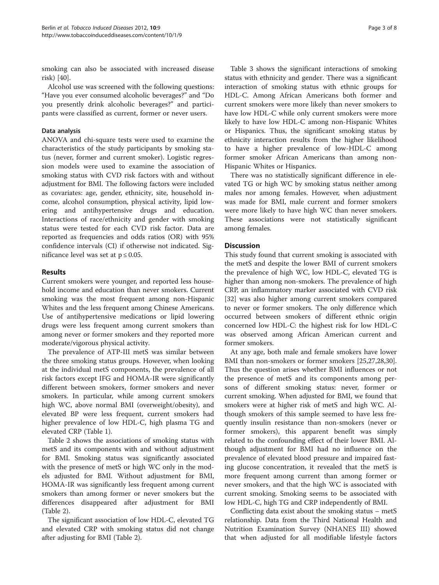smoking can also be associated with increased disease risk) [[40\]](#page-7-0).

Alcohol use was screened with the following questions: "Have you ever consumed alcoholic beverages?" and "Do you presently drink alcoholic beverages?" and participants were classified as current, former or never users.

### Data analysis

ANOVA and chi-square tests were used to examine the characteristics of the study participants by smoking status (never, former and current smoker). Logistic regression models were used to examine the association of smoking status with CVD risk factors with and without adjustment for BMI. The following factors were included as covariates: age, gender, ethnicity, site, household income, alcohol consumption, physical activity, lipid lowering and antihypertensive drugs and education. Interactions of race/ethnicity and gender with smoking status were tested for each CVD risk factor. Data are reported as frequencies and odds ratios (OR) with 95% confidence intervals (CI) if otherwise not indicated. Significance level was set at  $p \leq 0.05$ .

# Results

Current smokers were younger, and reported less household income and education than never smokers. Current smoking was the most frequent among non-Hispanic Whites and the less frequent among Chinese Americans. Use of antihypertensive medications or lipid lowering drugs were less frequent among current smokers than among never or former smokers and they reported more moderate/vigorous physical activity.

The prevalence of ATP-III metS was similar between the three smoking status groups. However, when looking at the individual metS components, the prevalence of all risk factors except IFG and HOMA-IR were significantly different between smokers, former smokers and never smokers. In particular, while among current smokers high WC, above normal BMI (overweight/obesity), and elevated BP were less frequent, current smokers had higher prevalence of low HDL-C, high plasma TG and elevated CRP (Table [1](#page-3-0)).

Table [2](#page-4-0) shows the associations of smoking status with metS and its components with and without adjustment for BMI. Smoking status was significantly associated with the presence of metS or high WC only in the models adjusted for BMI. Without adjustment for BMI, HOMA-IR was significantly less frequent among current smokers than among former or never smokers but the differences disappeared after adjustment for BMI (Table [2\)](#page-4-0).

The significant association of low HDL-C, elevated TG and elevated CRP with smoking status did not change after adjusting for BMI (Table [2](#page-4-0)).

Table [3](#page-4-0) shows the significant interactions of smoking status with ethnicity and gender. There was a significant interaction of smoking status with ethnic groups for HDL-C. Among African Americans both former and current smokers were more likely than never smokers to have low HDL-C while only current smokers were more likely to have low HDL-C among non-Hispanic Whites or Hispanics. Thus, the significant smoking status by ethnicity interaction results from the higher likelihood to have a higher prevalence of low-HDL-C among former smoker African Americans than among non-Hispanic Whites or Hispanics.

There was no statistically significant difference in elevated TG or high WC by smoking status neither among males nor among females. However, when adjustment was made for BMI, male current and former smokers were more likely to have high WC than never smokers. These associations were not statistically significant among females.

#### **Discussion**

This study found that current smoking is associated with the metS and despite the lower BMI of current smokers the prevalence of high WC, low HDL-C, elevated TG is higher than among non-smokers. The prevalence of high CRP, an inflammatory marker associated with CVD risk [[32\]](#page-6-0) was also higher among current smokers compared to never or former smokers. The only difference which occurred between smokers of different ethnic origin concerned low HDL-C: the highest risk for low HDL-C was observed among African American current and former smokers.

At any age, both male and female smokers have lower BMI than non-smokers or former smokers [[25](#page-6-0),[27,28,30](#page-6-0)]. Thus the question arises whether BMI influences or not the presence of metS and its components among persons of different smoking status: never, former or current smoking. When adjusted for BMI, we found that smokers were at higher risk of metS and high WC. Although smokers of this sample seemed to have less frequently insulin resistance than non-smokers (never or former smokers), this apparent benefit was simply related to the confounding effect of their lower BMI. Although adjustment for BMI had no influence on the prevalence of elevated blood pressure and impaired fasting glucose concentration, it revealed that the metS is more frequent among current than among former or never smokers, and that the high WC is associated with current smoking. Smoking seems to be associated with low HDL-C, high TG and CRP independently of BMI.

Conflicting data exist about the smoking status – metS relationship. Data from the Third National Health and Nutrition Examination Survey (NHANES III) showed that when adjusted for all modifiable lifestyle factors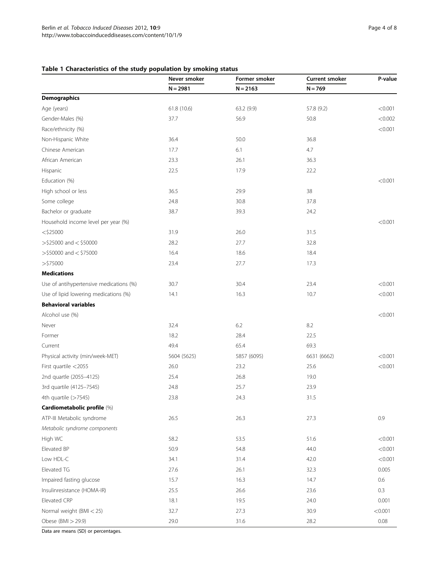# <span id="page-3-0"></span>Table 1 Characteristics of the study population by smoking status

|                                         | Never smoker | Former smoker | <b>Current smoker</b> | P-value |
|-----------------------------------------|--------------|---------------|-----------------------|---------|
|                                         | $N = 2981$   | $N = 2163$    | $N = 769$             |         |
| <b>Demographics</b>                     |              |               |                       |         |
| Age (years)                             | 61.8 (10.6)  | 63.2 (9.9)    | 57.8 (9.2)            | < 0.001 |
| Gender-Males (%)                        | 37.7         | 56.9          | 50.8                  | < 0.002 |
| Race/ethnicity (%)                      |              |               |                       | < 0.001 |
| Non-Hispanic White                      | 36.4         | 50.0          | 36.8                  |         |
| Chinese American                        | 17.7         | 6.1           | 4.7                   |         |
| African American                        | 23.3         | 26.1          | 36.3                  |         |
| Hispanic                                | 22.5         | 17.9          | 22.2                  |         |
| Education (%)                           |              |               |                       | < 0.001 |
| High school or less                     | 36.5         | 29.9          | 38                    |         |
| Some college                            | 24.8         | 30.8          | 37.8                  |         |
| Bachelor or graduate                    | 38.7         | 39.3          | 24.2                  |         |
| Household income level per year (%)     |              |               |                       | < 0.001 |
| $<$ \$25000                             | 31.9         | 26.0          | 31.5                  |         |
| $>\frac{25000}{1000}$ and $<$ \$50000   | 28.2         | 27.7          | 32.8                  |         |
| $>$ \$50000 and $<$ \$75000             | 16.4         | 18.6          | 18.4                  |         |
| $>$ \$75000                             | 23.4         | 27.7          | 17.3                  |         |
| <b>Medications</b>                      |              |               |                       |         |
| Use of antihypertensive medications (%) | 30.7         | 30.4          | 23.4                  | < 0.001 |
| Use of lipid lowering medications (%)   | 14.1         | 16.3          | 10.7                  | < 0.001 |
| <b>Behavioral variables</b>             |              |               |                       |         |
| Alcohol use (%)                         |              |               |                       | < 0.001 |
| Never                                   | 32.4         | 6.2           | 8.2                   |         |
| Former                                  | 18.2         | 28.4          | 22.5                  |         |
| Current                                 | 49.4         | 65.4          | 69.3                  |         |
| Physical activity (min/week-MET)        | 5604 (5625)  | 5857 (6095)   | 6631 (6662)           | < 0.001 |
| First quartile <2055                    | 26.0         | 23.2          | 25.6                  | < 0.001 |
| 2nd quartle (2055-4125)                 | 25.4         | 26.8          | 19.0                  |         |
| 3rd quartile (4125-7545)                | 24.8         | 25.7          | 23.9                  |         |
| 4th quartile (>7545)                    | 23.8         | 24.3          | 31.5                  |         |
| Cardiometabolic profile (%)             |              |               |                       |         |
| ATP-III Metabolic syndrome              | 26.5         | 26.3          | 27.3                  | 0.9     |
| Metabolic syndrome components           |              |               |                       |         |
| High WC                                 | 58.2         | 53.5          | 51.6                  | < 0.001 |
| Elevated BP                             | 50.9         | 54.8          | 44.0                  | < 0.001 |
| Low HDL-C                               | 34.1         | 31.4          | 42.0                  | < 0.001 |
| Elevated TG                             | 27.6         | 26.1          | 32.3                  | 0.005   |
| Impaired fasting glucose                | 15.7         | 16.3          | 14.7                  | 0.6     |
| Insulinresistance (HOMA-IR)             | 25.5         | 26.6          | 23.6                  | 0.3     |
| Elevated CRP                            | 18.1         | 19.5          | 24.0                  | 0.001   |
| Normal weight (BMI < 25)                | 32.7         | 27.3          | 30.9                  | < 0.001 |
| Obese (BMI > 29.9)                      | 29.0         | 31.6          | 28.2                  | 0.08    |

Data are means (SD) or percentages.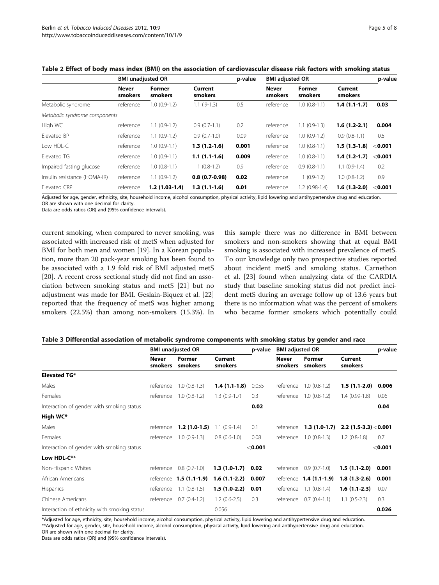|                               | <b>BMI</b> unadjusted OR |                   |                    | p-value | <b>BMI</b> adjusted OR  | p-value           |                    |           |  |
|-------------------------------|--------------------------|-------------------|--------------------|---------|-------------------------|-------------------|--------------------|-----------|--|
|                               | Never<br>smokers         | Former<br>smokers | Current<br>smokers |         | <b>Never</b><br>smokers | Former<br>smokers | Current<br>smokers |           |  |
| Metabolic syndrome            | reference                | $1.0(0.9-1.2)$    | $1.1$ (.9-1.3)     | 0.5     | reference               | $1.0(0.8-1.1)$    | $1.4(1.1-1.7)$     | 0.03      |  |
| Metabolic syndrome components |                          |                   |                    |         |                         |                   |                    |           |  |
| High WC                       | reference                | $1.1(0.9-1.2)$    | $0.9(0.7-1.1)$     | 0.2     | reference               | $1.1(0.9-1.3)$    | $1.6(1.2-2.1)$     | 0.004     |  |
| Elevated BP                   | reference                | $1.1(0.9-1.2)$    | $0.9(0.7-1.0)$     | 0.09    | reference               | $1.0(0.9-1.2)$    | $0.9(0.8-1.1)$     | 0.5       |  |
| Low HDL-C                     | reference                | $1.0(0.9-1.1)$    | $1.3(1.2-1.6)$     | 0.001   | reference               | $1.0(0.8-1.1)$    | $1.5(1.3-1.8)$     | $<$ 0.001 |  |
| Elevated TG                   | reference                | $1.0(0.9-1.1)$    | $1.1(1.1-1.6)$     | 0.009   | reference               | $1.0(0.8-1.1)$    | $1.4(1.2-1.7)$     | $<$ 0.001 |  |
| Impaired fasting glucose      | reference                | $1.0(0.8-1.1)$    | $1(0.8-1.2)$       | 0.9     | reference               | $0.9(0.8-1.1)$    | $1.1(0.9-1.4)$     | 0.2       |  |
| Insulin resistance (HOMA-IR)  | reference                | $1.1(0.9-1.2)$    | $0.8(0.7-0.98)$    | 0.02    | reference               | $1(0.9-1.2)$      | $1.0(0.8-1.2)$     | 0.9       |  |
| Flevated CRP                  | reference                | $1.2(1.03-1.4)$   | $1.3(1.1-1.6)$     | 0.01    | reference               | $1.2(0.98-1.4)$   | $1.6(1.3-2.0)$     | $<$ 0.001 |  |

#### <span id="page-4-0"></span>Table 2 Effect of body mass index (BMI) on the association of cardiovascular disease risk factors with smoking status

Adjusted for age, gender, ethnicity, site, household income, alcohol consumption, physical activity, lipid lowering and antihypertensive drug and education. OR are shown with one decimal for clarity.

Data are odds ratios (OR) and (95% confidence intervals).

current smoking, when compared to never smoking, was associated with increased risk of metS when adjusted for BMI for both men and women [\[19](#page-6-0)]. In a Korean population, more than 20 pack-year smoking has been found to be associated with a 1.9 fold risk of BMI adjusted metS [[20\]](#page-6-0). A recent cross sectional study did not find an association between smoking status and metS [[21\]](#page-6-0) but no adjustment was made for BMI. Geslain-Biquez et al. [[22](#page-6-0)] reported that the frequency of metS was higher among smokers (22.5%) than among non-smokers (15.3%). In this sample there was no difference in BMI between smokers and non-smokers showing that at equal BMI smoking is associated with increased prevalence of metS. To our knowledge only two prospective studies reported about incident metS and smoking status. Carnethon et al. [[23\]](#page-6-0) found when analyzing data of the CARDIA study that baseline smoking status did not predict incident metS during an average follow up of 13.6 years but there is no information what was the percent of smokers who became former smokers which potentially could

# Table 3 Differential association of metabolic syndrome components with smoking status by gender and race

|                                              | <b>BMI</b> unadjusted OR |                                |                    | p-value | <b>BMI</b> adjusted OR  |                                | p-value              |       |
|----------------------------------------------|--------------------------|--------------------------------|--------------------|---------|-------------------------|--------------------------------|----------------------|-------|
|                                              | Never<br>smokers         | <b>Former</b><br>smokers       | Current<br>smokers |         | <b>Never</b><br>smokers | <b>Former</b><br>smokers       | Current<br>smokers   |       |
| <b>Elevated TG*</b>                          |                          |                                |                    |         |                         |                                |                      |       |
| Males                                        | reference                | $1.0(0.8-1.3)$                 | $1.4(1.1-1.8)$     | 0.055   | reference               | $1.0(0.8-1.2)$                 | $1.5(1.1-2.0)$       | 0.006 |
| Females                                      | reference                | $1.0(0.8-1.2)$                 | $1.3(0.9-1.7)$     | 0.3     |                         | reference 1.0 (0.8-1.2)        | $1.4(0.99-1.8)$      | 0.06  |
| Interaction of gender with smoking status    |                          |                                |                    | 0.02    |                         |                                |                      | 0.04  |
| High WC*                                     |                          |                                |                    |         |                         |                                |                      |       |
| Males                                        | reference                | $1.2(1.0-1.5)$                 | $1.1(0.9-1.4)$     | 0.1     |                         | reference <b>1.3 (1.0-1.7)</b> | $2.2(1.5-3.3)<0.001$ |       |
| Females                                      | reference                | $1.0(0.9-1.3)$                 | $0.8(0.6-1.0)$     | 0.08    | reference               | $1.0(0.8-1.3)$                 | $1.2(0.8-1.8)$       | 0.7   |
| Interaction of gender with smoking status    |                          | $<$ 0.001                      |                    |         |                         | $<$ 0.001                      |                      |       |
| Low HDL-C**                                  |                          |                                |                    |         |                         |                                |                      |       |
| Non-Hispanic Whites                          | reference                | $0.8(0.7-1.0)$                 | $1.3(1.0-1.7)$     | 0.02    | reference               | $0.9(0.7-1.0)$                 | $1.5(1.1-2.0)$       | 0.001 |
| African Americans                            |                          | reference <b>1.5 (1.1-1.9)</b> | $1.6(1.1-2.2)$     | 0.007   |                         | reference 1.4 (1.1-1.9)        | $1.8(1.3-2.6)$       | 0.001 |
| <b>Hispanics</b>                             | reference                | $1.1(0.8-1.5)$                 | $1.5(1.0-2.2)$     | 0.01    |                         | reference 1.1 (0.8-1.4)        | $1.6(1.1-2.3)$       | 0.07  |
| Chinese Americans                            | reference                | $0.7(0.4-1.2)$                 | $1.2(0.6-2.5)$     | 0.3     | reference               | $0.7(0.4-1.1)$                 | $1.1(0.5-2.3)$       | 0.3   |
| Interaction of ethnicity with smoking status |                          |                                | 0.056              |         |                         |                                |                      | 0.026 |

\*Adjusted for age, ethnicity, site, household income, alcohol consumption, physical activity, lipid lowering and antihypertensive drug and education. \*\*Adjusted for age, gender, site, household income, alcohol consumption, physical activity, lipid lowering and antihypertensive drug and education. OR are shown with one decimal for clarity.

Data are odds ratios (OR) and (95% confidence intervals).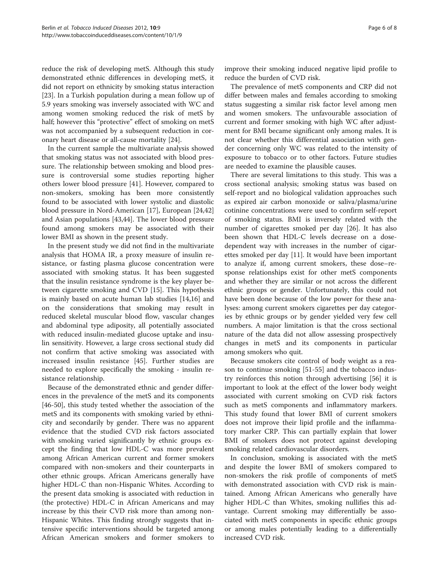reduce the risk of developing metS. Although this study demonstrated ethnic differences in developing metS, it did not report on ethnicity by smoking status interaction [[23\]](#page-6-0). In a Turkish population during a mean follow up of 5.9 years smoking was inversely associated with WC and among women smoking reduced the risk of metS by half; however this "protective" effect of smoking on metS was not accompanied by a subsequent reduction in coronary heart disease or all-cause mortality [\[24](#page-6-0)].

In the current sample the multivariate analysis showed that smoking status was not associated with blood pressure. The relationship between smoking and blood pressure is controversial some studies reporting higher others lower blood pressure [[41](#page-7-0)]. However, compared to non-smokers, smoking has been more consistently found to be associated with lower systolic and diastolic blood pressure in Nord-American [\[17](#page-6-0)], European [[24](#page-6-0),[42](#page-7-0)] and Asian populations [\[43,44\]](#page-7-0). The lower blood pressure found among smokers may be associated with their lower BMI as shown in the present study.

In the present study we did not find in the multivariate analysis that HOMA IR, a proxy measure of insulin resistance, or fasting plasma glucose concentration were associated with smoking status. It has been suggested that the insulin resistance syndrome is the key player between cigarette smoking and CVD [\[15](#page-6-0)]. This hypothesis is mainly based on acute human lab studies [[14,16\]](#page-6-0) and on the considerations that smoking may result in reduced skeletal muscular blood flow, vascular changes and abdominal type adiposity, all potentially associated with reduced insulin-mediated glucose uptake and insulin sensitivity. However, a large cross sectional study did not confirm that active smoking was associated with increased insulin resistance [[45\]](#page-7-0). Further studies are needed to explore specifically the smoking - insulin resistance relationship.

Because of the demonstrated ethnic and gender differences in the prevalence of the metS and its components [[46-50](#page-7-0)], this study tested whether the association of the metS and its components with smoking varied by ethnicity and secondarily by gender. There was no apparent evidence that the studied CVD risk factors associated with smoking varied significantly by ethnic groups except the finding that low HDL-C was more prevalent among African American current and former smokers compared with non-smokers and their counterparts in other ethnic groups. African Americans generally have higher HDL-C than non-Hispanic Whites. According to the present data smoking is associated with reduction in (the protective) HDL-C in African Americans and may increase by this their CVD risk more than among non-Hispanic Whites. This finding strongly suggests that intensive specific interventions should be targeted among African American smokers and former smokers to improve their smoking induced negative lipid profile to reduce the burden of CVD risk.

The prevalence of metS components and CRP did not differ between males and females according to smoking status suggesting a similar risk factor level among men and women smokers. The unfavourable association of current and former smoking with high WC after adjustment for BMI became significant only among males. It is not clear whether this differential association with gender concerning only WC was related to the intensity of exposure to tobacco or to other factors. Future studies are needed to examine the plausible causes.

There are several limitations to this study. This was a cross sectional analysis; smoking status was based on self-report and no biological validation approaches such as expired air carbon monoxide or saliva/plasma/urine cotinine concentrations were used to confirm self-report of smoking status. BMI is inversely related with the number of cigarettes smoked per day [[26](#page-6-0)]. It has also been shown that HDL-C levels decrease on a dosedependent way with increases in the number of cigarettes smoked per day [[11\]](#page-6-0). It would have been important to analyze if, among current smokers, these dose–response relationships exist for other metS components and whether they are similar or not across the different ethnic groups or gender. Unfortunately, this could not have been done because of the low power for these analyses: among current smokers cigarettes per day categories by ethnic groups or by gender yielded very few cell numbers. A major limitation is that the cross sectional nature of the data did not allow assessing prospectively changes in metS and its components in particular among smokers who quit.

Because smokers cite control of body weight as a reason to continue smoking [[51-55\]](#page-7-0) and the tobacco industry reinforces this notion through advertising [[56](#page-7-0)] it is important to look at the effect of the lower body weight associated with current smoking on CVD risk factors such as metS components and inflammatory markers. This study found that lower BMI of current smokers does not improve their lipid profile and the inflammatory marker CRP. This can partially explain that lower BMI of smokers does not protect against developing smoking related cardiovascular disorders.

In conclusion, smoking is associated with the metS and despite the lower BMI of smokers compared to non-smokers the risk profile of components of metS with demonstrated association with CVD risk is maintained. Among African Americans who generally have higher HDL-C than Whites, smoking nullifies this advantage. Current smoking may differentially be associated with metS components in specific ethnic groups or among males potentially leading to a differentially increased CVD risk.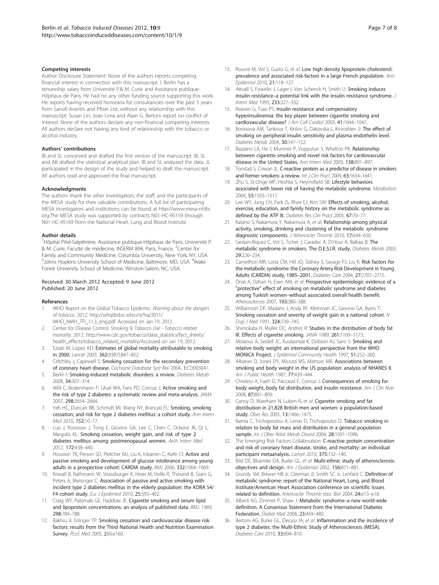#### <span id="page-6-0"></span>Competing interests

Author Disclosure Statement: None of the authors reports competing financial interest in connection with this manuscript. I. Berlin has a tenureship salary from Université P.& M. Curie and Assistance publique-Hôpitaux de Paris. He had no any other funding source supporting this work. He reports having received honoraria for consultancies over the past 5 years from Sanofi-Aventis and Pfizer Ltd. without any relationship with this manuscript. Susan Lin, Joao Lima and Alain G. Bertoni report no conflict of interest. None of the authors declare any non-financial competing interests. All authors declare not having any kind of relationship with the tobacco or alcohol industry.

#### Authors' contributions

IB and SL conceived and drafted the first version of the manuscript. IB, SL and AB drafted the statistical analytical plan. IB and SL analyzed the data. JL participated in the design of the study and helped to draft the manuscript. All authors read and approved the final manuscript.

#### Acknowledgments

The authors thank the other investigators, the staff, and the participants of the MESA study for their valuable contributions. A full list of participating MESA investigators and institutions can be found at http://www.mesa-nhlbi. org.The MESA study was supported by contracts N01-HC-95159 through N01-HC-95169 from the National Heart, Lung and Blood Institute.

#### Author details

<sup>1</sup>Hôpital Pitié-Salpêtrière, Assistance publique-Hôpitaux de Paris, Université P. & M. Curie, Faculté de médecine, INSERM 894, Paris, France. <sup>2</sup>Center for Family and Community Medicine, Columbia University, New York, NY, USA. <sup>3</sup> Johns Hopkins University School of Medicine, Baltimore, MD, USA. <sup>4</sup>Wake Forest University School of Medicine, Winston-Salem, NC, USA.

#### Received: 30 March 2012 Accepted: 9 June 2012 Published: 20 June 2012

#### References

- WHO Report on the Global Tobacco Epidemic: Warning about the dangers of tobacco. 2012. http://whqlibdoc.who.int/hq/2011/ WHO\_NMH\_TFI\_11.3\_eng.pdf. Accessed on Jan 19, 2012.
- 2. Center for Disease Control: Smoking & Tobacco Use Tobacco related mortality. 2012. [http://www.cdc.gov/tobacco/data\\_statistics/fact\\_sheets/](http://www.cdc.gov/tobacco/data_statistics/fact_sheets/health_effects/tobacco_related_mortality) [health\\_effects/tobacco\\_related\\_mortality/](http://www.cdc.gov/tobacco/data_statistics/fact_sheets/health_effects/tobacco_related_mortality)Accessed on Jan 19, 2012.
- 3. Ezzati M, Lopez AD: Estimates of global mortality attributable to smoking in 2000. Lancet 2003, 362(9387):847–852.
- 4. Critchley J, Capewell S: Smoking cessation for the secondary prevention of coronary heart disease. Cochrane Database Syst Rev 2004, 1:CD003041.
- 5. Berlin I: Smoking-induced metabolic disorders: a review. Diabetes Metab 2008, 34:307–314.
- 6. Willi C, Bodenmann P, Ghali WA, Faris PD, Cornuz J: Active smoking and the risk of type 2 diabetes: a systematic review and meta-analysis. JAMA 2007, 298:2654–2664.
- 7. Yeh HC, Duncan BB, Schmidt MI, Wang NY, Brancati FL: Smoking, smoking cessation, and risk for type 2 diabetes mellitus: a cohort study. Ann Intern Med 2010, 152:10–17.
- Luo J, Rossouw J, Tong E, Giovino GA, Lee C, Chen C, Ockene JK, Qi L, Margolis KL: Smoking cessation, weight gain, and risk of type 2 diabetes mellitus among postmenopausal women. Arch Intern Med 2012, 172:438–440.
- 9. Houston TK, Person SD, Pletcher MJ, Liu K, Iribarren C, Kiefe CI: Active and passive smoking and development of glucose intolerance among young adults in a prospective cohort: CARDIA study. BMJ 2006, 332:1064–1069.
- 10. Kowall B, Rathmann W, Strassburger K, Heier M, Holle R, Thorand B, Giani G, Peters A, Meisinger C: Association of passive and active smoking with incident type 2 diabetes mellitus in the elderly population: the KORA S4/ F4 cohort study. Eur J Epidemiol 2010, 25:393–402.
- 11. Craig WY, Palomaki GE, Haddow JE: Cigarette smoking and serum lipid and lipoprotein concentrations: an analysis of published data. BMJ. 1989, 298:784–788.
- 12. Bakhru A, Erlinger TP: Smoking cessation and cardiovascular disease risk factors: results from the Third National Health and Nutrition Examination Survey. PLoS Med 2005, 2(6):e160.
- 13. Rouvre M, Vol S, Gusto G, et al: Low high density lipoprotein cholesterol: prevalence and associated risk-factors in a large French population. Ann Epidemiol 2010, 21:118–127.
- 14. Attvall S, Fowelin J, Lager I, Von Schenck H, Smith U: Smoking induces insulin resistance–a potential link with the insulin resistance syndrome. J Intern Med 1993, 233:327–332.
- 15. Reaven G, Tsao PS: Insulin resistance and compensatory hyperinsulinemia: the key player between cigarette smoking and cardiovascular disease? J Am Coll Cardiol 2003, 41:1044–1047.
- 16. Borissova AM, Tankova T, Kirilov G, Dakovska L, Krivoshiev S: The effect of smoking on peripheral insulin sensitivity and plasma endothelin level. Diabetes Metab 2004, 30:147–152.
- 17. Bazzano LA, He J, Muntner P, Vupputuri S, Whelton PK: Relationship between cigarette smoking and novel risk factors for cardiovascular disease in the United States. Ann Intern Med 2003, 138:891–897.
- 18. Tonstad S, Cowan JL: C-reactive protein as a predictor of disease in smokers and former smokers: a review. Int J Clin Pract 2009, 63:1634-1641.
- 19. Zhu S, St-Onge MP, Heshka S, Heymsfield SB: Lifestyle behaviors associated with lower risk of having the metabolic syndrome. Metabolism 2004, 53:1503–1511.
- 20. Lee WY, Jung CH, Park JS, Rhee EJ, Kim SW: Effects of smoking, alcohol, exercise, education, and family history on the metabolic syndrome as defined by the ATP III. Diabetes Res Clin Pract 2005, 67:70-77
- 21. Katano S, Nakamura Y, Nakamura A, et al: Relationship among physical activity, smoking, drinking and clustering of the metabolic syndrome diagnostic components. J Atheroscler Thromb 2010, 17:644–650.
- Geslain-Biquez C, Vol S, Tichet J, Caradec A, D'Hour A, Balkau B: The metabolic syndrome in smokers. The D.E.S.I.R. study. Diabetes Metab 2003, 29:226–234.
- 23. Carnethon MR, Loria CM, Hill JO, Sidney S, Savage PJ, Liu K: Risk factors for the metabolic syndrome: the Coronary Artery Risk Development in Young Adults (CARDIA) study, 1985–2001. Diabetes Care 2004, 27:2707–2715.
- 24. Onat A, Ozhan H, Esen AM, et al: Prospective epidemiologic evidence of a "protective" effect of smoking on metabolic syndrome and diabetes among Turkish women–without associated overall health benefit. Atherosclerosis 2007, 193:380–388.
- 25. Williamson DF, Madans J, Anda RF, Kleinman JC, Giovino GA, Byers T: Smoking cessation and severity of weight gain in a national cohort. N Engl J Med 1991, 324:739–745.
- 26. Shimokata H, Muller DC, Andres R: Studies in the distribution of body fat III. Effects of cigarette smoking. JAMA 1989, 261:1169–1173.
- 27. Molarius A, Seidell JC, Kuulasmaa K, Dobson AJ, Sans S: Smoking and relative body weight: an international perspective from the WHO MONICA Project. J Epidemiol Community Health 1997, 51:252–260.
- 28. Albanes D, Jones DY, Micozzi MS, Mattson ME: Associations between smoking and body weight in the US population: analysis of NHANES II. Am J Public Health 1987, 77:439–444.
- 29. Chiolero A, Faeh D, Paccaud F, Cornuz J: Consequences of smoking for body weight, body fat distribution, and insulin resistance. Am J Clin Nutr 2008, 87:801–809.
- 30. Canoy D, Wareham N, Luben R, et al: Cigarette smoking and fat distribution in 21,828 British men and women: a population-based study. Obes Res 2005, 13:1466–1475.
- 31. Bamia C, Trichopoulou A, Lenas D, Trichopoulos D: Tobacco smoking in relation to body fat mass and distribution in a general population sample. Int J Obes Relat Metab Disord 2004, 28:1091-1096.
- 32. The Emerging Risk Factors Collaboration: C-reactive protein concentration and risk of coronary heart disease, stroke, and mortality: an individual participant metaanalysis. Lancet 2010, 375:132–140.
- 33. Bild DE, Bluemke DA, Burke GL, et al: Multi-ethnic study of atherosclerosis: objectives and design. Am J Epidemiol 2002, 156:871–881.
- 34. Grundy SM, Brewer HB Jr, Cleeman JI, Smith SC Jr, Lenfant C: Definition of metabolic syndrome: report of the National Heart, Lung, and Blood Institute/American Heart Association conference on scientific issues related to definition. Arterioscler Thromb Vasc Biol 2004, 24:e13–e18.
- 35. Alberti KG, Zimmet P, Shaw J: Metabolic syndrome–a new world-wide definition. A Consensus Statement from the International Diabetes Federation. Diabet Med 2006, 23:469–480.
- 36. Bertoni AG, Burke GL, Owusu JA, et al: Inflammation and the incidence of type 2 diabetes: the Multi-Ethnic Study of Atherosclerosis (MESA). Diabetes Care 2010, 33:804–810.